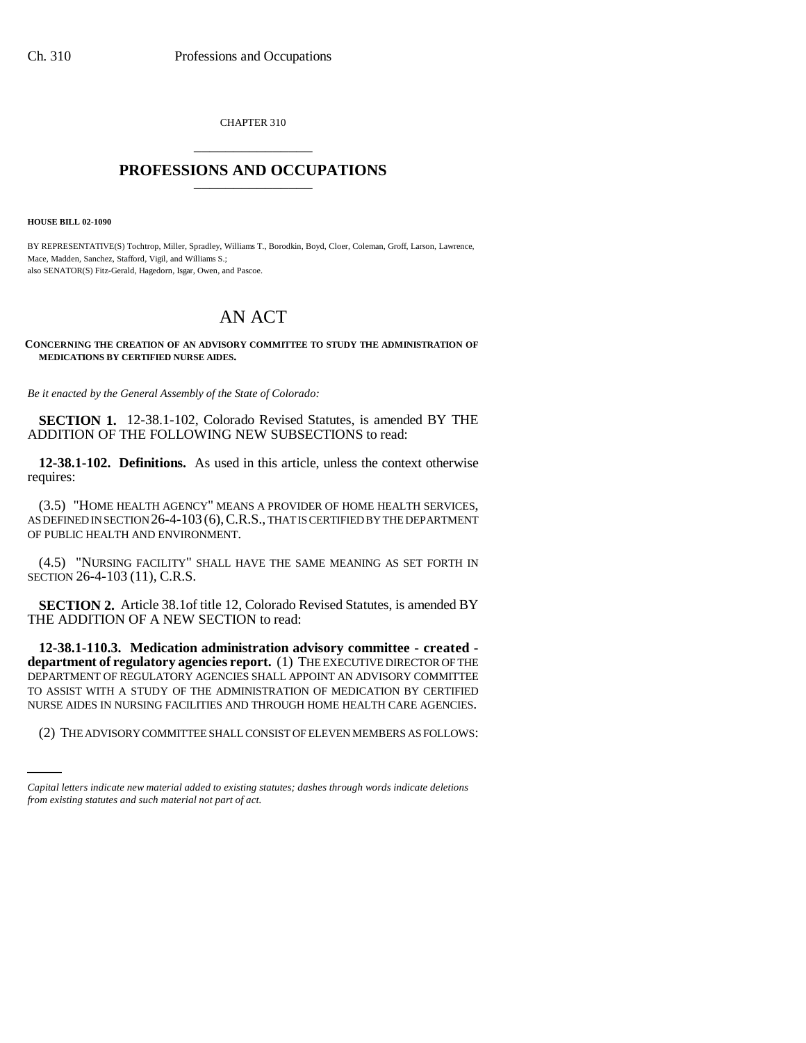CHAPTER 310 \_\_\_\_\_\_\_\_\_\_\_\_\_\_\_

## **PROFESSIONS AND OCCUPATIONS** \_\_\_\_\_\_\_\_\_\_\_\_\_\_\_

**HOUSE BILL 02-1090**

BY REPRESENTATIVE(S) Tochtrop, Miller, Spradley, Williams T., Borodkin, Boyd, Cloer, Coleman, Groff, Larson, Lawrence, Mace, Madden, Sanchez, Stafford, Vigil, and Williams S.; also SENATOR(S) Fitz-Gerald, Hagedorn, Isgar, Owen, and Pascoe.

## AN ACT

**CONCERNING THE CREATION OF AN ADVISORY COMMITTEE TO STUDY THE ADMINISTRATION OF MEDICATIONS BY CERTIFIED NURSE AIDES.**

*Be it enacted by the General Assembly of the State of Colorado:*

**SECTION 1.** 12-38.1-102, Colorado Revised Statutes, is amended BY THE ADDITION OF THE FOLLOWING NEW SUBSECTIONS to read:

**12-38.1-102. Definitions.** As used in this article, unless the context otherwise requires:

(3.5) "HOME HEALTH AGENCY" MEANS A PROVIDER OF HOME HEALTH SERVICES, AS DEFINED IN SECTION 26-4-103 (6), C.R.S., THAT IS CERTIFIED BY THE DEPARTMENT OF PUBLIC HEALTH AND ENVIRONMENT.

(4.5) "NURSING FACILITY" SHALL HAVE THE SAME MEANING AS SET FORTH IN SECTION 26-4-103 (11), C.R.S.

**SECTION 2.** Article 38.1of title 12, Colorado Revised Statutes, is amended BY THE ADDITION OF A NEW SECTION to read:

NURSE AIDES IN NURSING FACILITIES AND THROUGH HOME HEALTH CARE AGENCIES. **12-38.1-110.3. Medication administration advisory committee - created department of regulatory agencies report.** (1) THE EXECUTIVE DIRECTOR OF THE DEPARTMENT OF REGULATORY AGENCIES SHALL APPOINT AN ADVISORY COMMITTEE TO ASSIST WITH A STUDY OF THE ADMINISTRATION OF MEDICATION BY CERTIFIED

(2) THE ADVISORY COMMITTEE SHALL CONSIST OF ELEVEN MEMBERS AS FOLLOWS:

*Capital letters indicate new material added to existing statutes; dashes through words indicate deletions from existing statutes and such material not part of act.*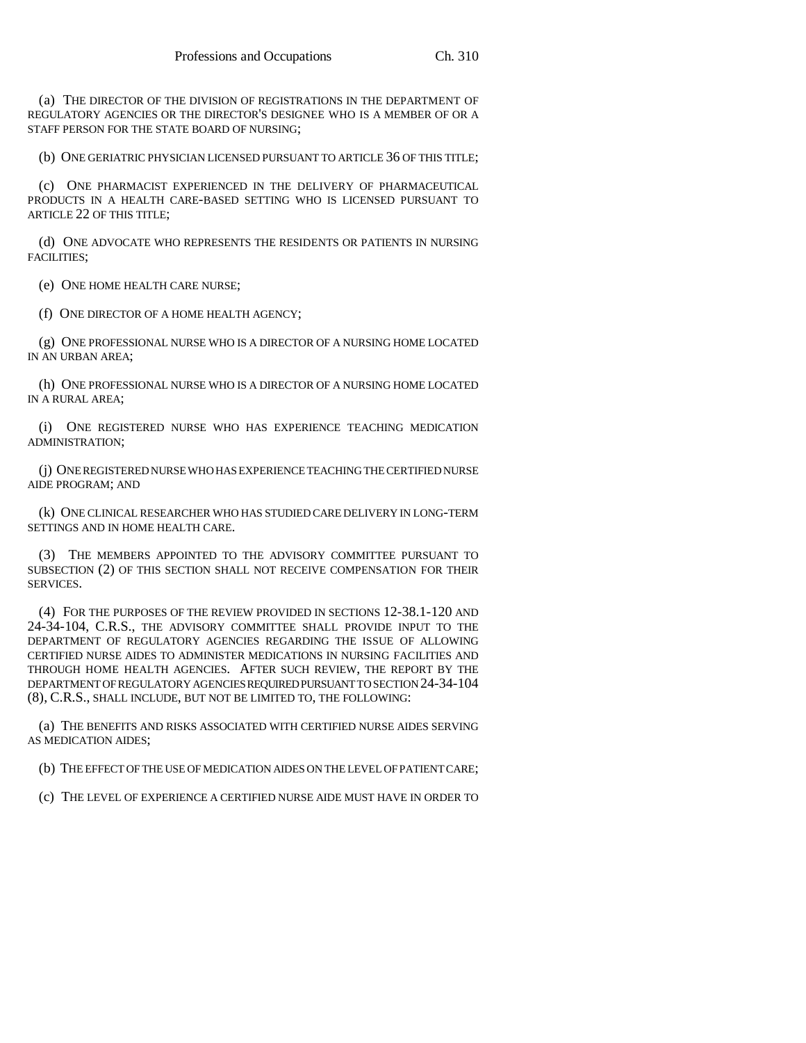(a) THE DIRECTOR OF THE DIVISION OF REGISTRATIONS IN THE DEPARTMENT OF REGULATORY AGENCIES OR THE DIRECTOR'S DESIGNEE WHO IS A MEMBER OF OR A STAFF PERSON FOR THE STATE BOARD OF NURSING;

(b) ONE GERIATRIC PHYSICIAN LICENSED PURSUANT TO ARTICLE 36 OF THIS TITLE;

(c) ONE PHARMACIST EXPERIENCED IN THE DELIVERY OF PHARMACEUTICAL PRODUCTS IN A HEALTH CARE-BASED SETTING WHO IS LICENSED PURSUANT TO ARTICLE 22 OF THIS TITLE;

(d) ONE ADVOCATE WHO REPRESENTS THE RESIDENTS OR PATIENTS IN NURSING FACILITIES;

(e) ONE HOME HEALTH CARE NURSE;

(f) ONE DIRECTOR OF A HOME HEALTH AGENCY;

(g) ONE PROFESSIONAL NURSE WHO IS A DIRECTOR OF A NURSING HOME LOCATED IN AN URBAN AREA;

(h) ONE PROFESSIONAL NURSE WHO IS A DIRECTOR OF A NURSING HOME LOCATED IN A RURAL AREA;

(i) ONE REGISTERED NURSE WHO HAS EXPERIENCE TEACHING MEDICATION ADMINISTRATION;

(j) ONE REGISTERED NURSE WHO HAS EXPERIENCE TEACHING THE CERTIFIED NURSE AIDE PROGRAM; AND

(k) ONE CLINICAL RESEARCHER WHO HAS STUDIED CARE DELIVERY IN LONG-TERM SETTINGS AND IN HOME HEALTH CARE.

(3) THE MEMBERS APPOINTED TO THE ADVISORY COMMITTEE PURSUANT TO SUBSECTION (2) OF THIS SECTION SHALL NOT RECEIVE COMPENSATION FOR THEIR SERVICES.

(4) FOR THE PURPOSES OF THE REVIEW PROVIDED IN SECTIONS 12-38.1-120 AND 24-34-104, C.R.S., THE ADVISORY COMMITTEE SHALL PROVIDE INPUT TO THE DEPARTMENT OF REGULATORY AGENCIES REGARDING THE ISSUE OF ALLOWING CERTIFIED NURSE AIDES TO ADMINISTER MEDICATIONS IN NURSING FACILITIES AND THROUGH HOME HEALTH AGENCIES. AFTER SUCH REVIEW, THE REPORT BY THE DEPARTMENT OF REGULATORY AGENCIES REQUIRED PURSUANT TO SECTION 24-34-104 (8), C.R.S., SHALL INCLUDE, BUT NOT BE LIMITED TO, THE FOLLOWING:

(a) THE BENEFITS AND RISKS ASSOCIATED WITH CERTIFIED NURSE AIDES SERVING AS MEDICATION AIDES;

(b) THE EFFECT OF THE USE OF MEDICATION AIDES ON THE LEVEL OF PATIENT CARE;

(c) THE LEVEL OF EXPERIENCE A CERTIFIED NURSE AIDE MUST HAVE IN ORDER TO